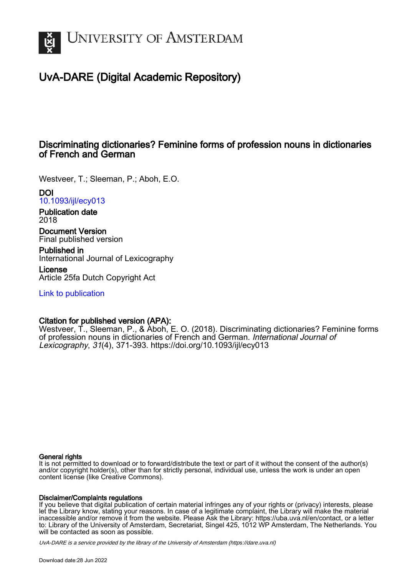

# UvA-DARE (Digital Academic Repository)

# Discriminating dictionaries? Feminine forms of profession nouns in dictionaries of French and German

Westveer, T.; Sleeman, P.; Aboh, E.O.

DOI [10.1093/ijl/ecy013](https://doi.org/10.1093/ijl/ecy013)

Publication date 2018

Document Version Final published version

Published in International Journal of Lexicography

License Article 25fa Dutch Copyright Act

[Link to publication](https://dare.uva.nl/personal/pure/en/publications/discriminating-dictionaries-feminine-forms-of-profession-nouns-in-dictionaries-of-french-and-german(8a38f3cf-b01b-4107-bd4e-1b0d2f550cc9).html)

# Citation for published version (APA):

Westveer, T., Sleeman, P., & Aboh, E. O. (2018). Discriminating dictionaries? Feminine forms of profession nouns in dictionaries of French and German. International Journal of Lexicography, 31(4), 371-393.<https://doi.org/10.1093/ijl/ecy013>

### General rights

It is not permitted to download or to forward/distribute the text or part of it without the consent of the author(s) and/or copyright holder(s), other than for strictly personal, individual use, unless the work is under an open content license (like Creative Commons).

### Disclaimer/Complaints regulations

If you believe that digital publication of certain material infringes any of your rights or (privacy) interests, please let the Library know, stating your reasons. In case of a legitimate complaint, the Library will make the material inaccessible and/or remove it from the website. Please Ask the Library: https://uba.uva.nl/en/contact, or a letter to: Library of the University of Amsterdam, Secretariat, Singel 425, 1012 WP Amsterdam, The Netherlands. You will be contacted as soon as possible.

UvA-DARE is a service provided by the library of the University of Amsterdam (http*s*://dare.uva.nl)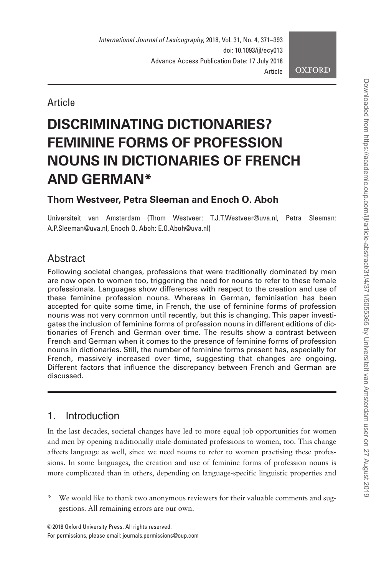**OXFORD** 

Article

# DISCRIMINATING DICTIONARIES? FEMININE FORMS OF PROFESSION NOUNS IN DICTIONARIES OF FRENCH AND GERMAN\*

# Thom Westveer, Petra Sleeman and Enoch O. Aboh

Universiteit van Amsterdam (Thom Westveer: T.J.T.Westveer@uva.nl, Petra Sleeman: A.P.Sleeman@uva.nl, Enoch O. Aboh: E.O.Aboh@uva.nl)

# Abstract

Following societal changes, professions that were traditionally dominated by men are now open to women too, triggering the need for nouns to refer to these female professionals. Languages show differences with respect to the creation and use of these feminine profession nouns. Whereas in German, feminisation has been accepted for quite some time, in French, the use of feminine forms of profession nouns was not very common until recently, but this is changing. This paper investigates the inclusion of feminine forms of profession nouns in different editions of dictionaries of French and German over time. The results show a contrast between French and German when it comes to the presence of feminine forms of profession nouns in dictionaries. Still, the number of feminine forms present has, especially for French, massively increased over time, suggesting that changes are ongoing. Different factors that influence the discrepancy between French and German are discussed.

# 1. Introduction

In the last decades, societal changes have led to more equal job opportunities for women and men by opening traditionally male-dominated professions to women, too. This change affects language as well, since we need nouns to refer to women practising these professions. In some languages, the creation and use of feminine forms of profession nouns is more complicated than in others, depending on language-specific linguistic properties and

We would like to thank two anonymous reviewers for their valuable comments and suggestions. All remaining errors are our own.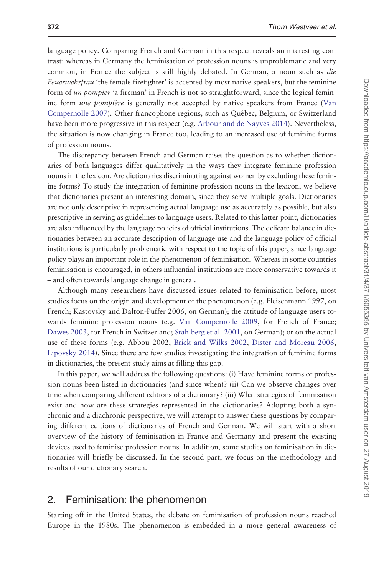language policy. Comparing French and German in this respect reveals an interesting contrast: whereas in Germany the feminisation of profession nouns is unproblematic and very common, in France the subject is still highly debated. In German, a noun such as die Feuerwehrfrau 'the female firefighter' is accepted by most native speakers, but the feminine form of un pompier 'a fireman' in French is not so straightforward, since the logical feminine form *une pompière* is generally not accepted by native speakers from France ([Van](#page-20-0) [Compernolle 2007\)](#page-20-0). Other francophone regions, such as Québec, Belgium, or Switzerland have been more progressive in this respect (e.g. [Arbour and de Nayves 2014](#page-19-0)). Nevertheless, the situation is now changing in France too, leading to an increased use of feminine forms of profession nouns.

The discrepancy between French and German raises the question as to whether dictionaries of both languages differ qualitatively in the ways they integrate feminine profession nouns in the lexicon. Are dictionaries discriminating against women by excluding these feminine forms? To study the integration of feminine profession nouns in the lexicon, we believe that dictionaries present an interesting domain, since they serve multiple goals. Dictionaries are not only descriptive in representing actual language use as accurately as possible, but also prescriptive in serving as guidelines to language users. Related to this latter point, dictionaries are also influenced by the language policies of official institutions. The delicate balance in dictionaries between an accurate description of language use and the language policy of official institutions is particularly problematic with respect to the topic of this paper, since language policy plays an important role in the phenomenon of feminisation. Whereas in some countries feminisation is encouraged, in others influential institutions are more conservative towards it – and often towards language change in general.

Although many researchers have discussed issues related to feminisation before, most studies focus on the origin and development of the phenomenon (e.g. Fleischmann 1997, on French; Kastovsky and Dalton-Puffer 2006, on German); the attitude of language users towards feminine profession nouns (e.g. [Van Compernolle 2009,](#page-20-0) for French of France; [Dawes 2003](#page-19-0), for French in Switzerland; [Stahlberg et al. 2001](#page-20-0), on German); or on the actual use of these forms (e.g. Abbou 2002, [Brick and Wilks 2002,](#page-19-0) [Dister and Moreau 2006](#page-19-0), [Lipovsky 2014](#page-19-0)). Since there are few studies investigating the integration of feminine forms in dictionaries, the present study aims at filling this gap.

In this paper, we will address the following questions: (i) Have feminine forms of profession nouns been listed in dictionaries (and since when)? (ii) Can we observe changes over time when comparing different editions of a dictionary? (iii) What strategies of feminisation exist and how are these strategies represented in the dictionaries? Adopting both a synchronic and a diachronic perspective, we will attempt to answer these questions by comparing different editions of dictionaries of French and German. We will start with a short overview of the history of feminisation in France and Germany and present the existing devices used to feminise profession nouns. In addition, some studies on feminisation in dictionaries will briefly be discussed. In the second part, we focus on the methodology and results of our dictionary search.

### 2. Feminisation: the phenomenon

Starting off in the United States, the debate on feminisation of profession nouns reached Europe in the 1980s. The phenomenon is embedded in a more general awareness of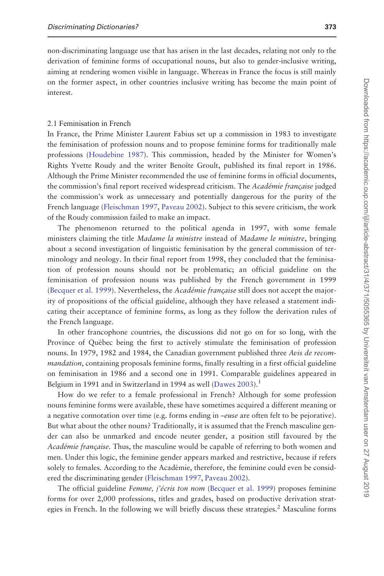non-discriminating language use that has arisen in the last decades, relating not only to the derivation of feminine forms of occupational nouns, but also to gender-inclusive writing, aiming at rendering women visible in language. Whereas in France the focus is still mainly on the former aspect, in other countries inclusive writing has become the main point of interest.

#### 2.1 Feminisation in French

In France, the Prime Minister Laurent Fabius set up a commission in 1983 to investigate the feminisation of profession nouns and to propose feminine forms for traditionally male professions [\(Houdebine 1987\)](#page-19-0). This commission, headed by the Minister for Women's Rights Yvette Roudy and the writer Benoîte Groult, published its final report in 1986. Although the Prime Minister recommended the use of feminine forms in official documents, the commission's final report received widespread criticism. The Académie française judged the commission's work as unnecessary and potentially dangerous for the purity of the French language [\(Fleischman 1997,](#page-19-0) [Paveau 2002](#page-19-0)). Subject to this severe criticism, the work of the Roudy commission failed to make an impact.

The phenomenon returned to the political agenda in 1997, with some female ministers claiming the title Madame la ministre instead of Madame le ministre, bringing about a second investigation of linguistic feminisation by the general commission of terminology and neology. In their final report from 1998, they concluded that the feminisation of profession nouns should not be problematic; an official guideline on the feminisation of profession nouns was published by the French government in 1999 ([Becquer et al. 1999](#page-19-0)). Nevertheless, the Académie française still does not accept the majority of propositions of the official guideline, although they have released a statement indicating their acceptance of feminine forms, as long as they follow the derivation rules of the French language.

In other francophone countries, the discussions did not go on for so long, with the Province of Québec being the first to actively stimulate the feminisation of profession nouns. In 1979, 1982 and 1984, the Canadian government published three Avis de recommandation, containing proposals feminine forms, finally resulting in a first official guideline on feminisation in 1986 and a second one in 1991. Comparable guidelines appeared in Belgium in 1991 and in Switzerland in 1994 as well ([Dawes 2003](#page-19-0)).<sup>1</sup>

How do we refer to a female professional in French? Although for some profession nouns feminine forms were available, these have sometimes acquired a different meaning or a negative connotation over time (e.g. forms ending in  $-euse$  are often felt to be pejorative). But what about the other nouns? Traditionally, it is assumed that the French masculine gender can also be unmarked and encode neuter gender, a position still favoured by the Académie française. Thus, the masculine would be capable of referring to both women and men. Under this logic, the feminine gender appears marked and restrictive, because if refers solely to females. According to the Académie, therefore, the feminine could even be considered the discriminating gender ([Fleischman 1997,](#page-19-0) [Paveau 2002](#page-19-0)).

The official guideline *Femme, j'écris ton nom* [\(Becquer et al. 1999\)](#page-19-0) proposes feminine forms for over 2,000 professions, titles and grades, based on productive derivation strategies in French. In the following we will briefly discuss these strategies.<sup>2</sup> Masculine forms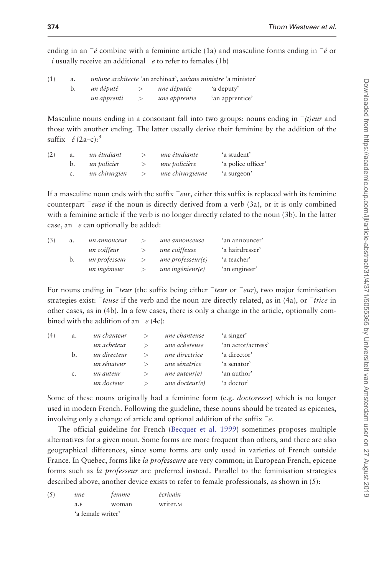ending in an  $\vec{e}$  combine with a feminine article (1a) and masculine forms ending in  $\vec{e}$  or  $\vec{i}$  usually receive an additional  $\vec{i}$  to refer to females (1b)

| (1) | а. | <i>unlune architecte</i> 'an architect', <i>unlune ministre</i> 'a minister' |   |               |                 |
|-----|----|------------------------------------------------------------------------------|---|---------------|-----------------|
|     | b. | un député                                                                    |   | une députée   | 'a deputy'      |
|     |    | un apprenti                                                                  | → | une apprentie | 'an apprentice' |

Masculine nouns ending in a consonant fall into two groups: nouns ending in  $\bar{t}$ those with another ending. The latter usually derive their feminine by the addition of the suffix  $\vec{e}$  (2a–c):<sup>3</sup>

| (2) | a.          | un étudiant   |               | une étudiante    | 'a student'        |
|-----|-------------|---------------|---------------|------------------|--------------------|
|     |             | un policier   |               | une policière    | 'a police officer' |
|     | $c_{\star}$ | un chirurgien | $\rightarrow$ | une chirurgienne | 'a surgeon'        |

If a masculine noun ends with the suffix  $\overline{\phantom{a}}$  eur, either this suffix is replaced with its feminine counterpart <sup>-</sup>euse if the noun is directly derived from a verb (3a), or it is only combined with a feminine article if the verb is no longer directly related to the noun (3b). In the latter case, an  $-e$  can optionally be added:

| (3) | а. | un annonceur  |   | une annonceuse           | 'an announcer'  |
|-----|----|---------------|---|--------------------------|-----------------|
|     |    | un coiffeur   |   | une coiffeuse            | 'a hairdresser' |
|     | b. | un professeur | > | <i>une</i> professeur(e) | 'a teacher'     |
|     |    | un ingénieur  |   | une ingénieur(e)         | 'an engineer'   |

For nouns ending in <sup>-</sup>teur (the suffix being either <sup>-teur</sup> or <sup>-eur</sup>), two major feminisation strategies exist: <sup>-</sup>teuse if the verb and the noun are directly related, as in (4a), or <sup>-</sup>trice in other cases, as in (4b). In a few cases, there is only a change in the article, optionally combined with the addition of an  $-e(4c)$ :

| (4) | а.              | un chanteur  | $\geq$        | une chanteuse    | 'a singer'         |
|-----|-----------------|--------------|---------------|------------------|--------------------|
|     |                 | un acheteur  | $\mathcal{E}$ | une acheteuse    | 'an actor/actress' |
|     | b.              | un directeur | $\geq$        | une directrice   | 'a director'       |
|     |                 | un sénateur  | $\geq$        | une sénatrice    | 'a senator'        |
|     | $\mathcal{C}$ . | un auteur    | $\geq$        | $une$ auteur(e)  | 'an author'        |
|     |                 | un docteur   | $\mathcal{E}$ | $une$ docteur(e) | 'a doctor'         |

Some of these nouns originally had a feminine form (e.g. doctoresse) which is no longer used in modern French. Following the guideline, these nouns should be treated as epicenes, involving only a change of article and optional addition of the suffix  $-e$ .

The official guideline for French [\(Becquer et al. 1999](#page-19-0)) sometimes proposes multiple alternatives for a given noun. Some forms are more frequent than others, and there are also geographical differences, since some forms are only used in varieties of French outside France. In Quebec, forms like la professeure are very common; in European French, epicene forms such as la professeur are preferred instead. Parallel to the feminisation strategies described above, another device exists to refer to female professionals, as shown in (5):

| (5) | une               | femme | écrivain |
|-----|-------------------|-------|----------|
|     | a.F               | woman | writer.M |
|     | 'a female writer' |       |          |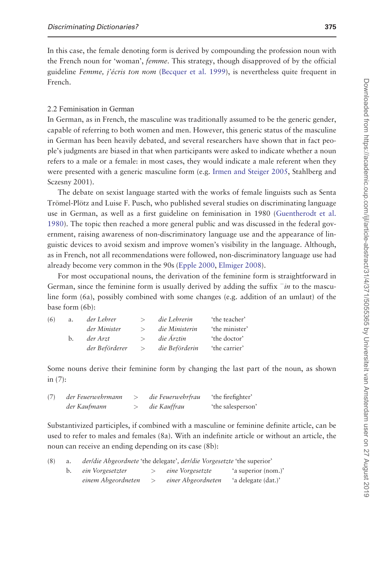In this case, the female denoting form is derived by compounding the profession noun with the French noun for 'woman', *femme*. This strategy, though disapproved of by the official guideline Femme, *j'écris ton nom* [\(Becquer et al. 1999\)](#page-19-0), is nevertheless quite frequent in French.

#### 2.2 Feminisation in German

In German, as in French, the masculine was traditionally assumed to be the generic gender, capable of referring to both women and men. However, this generic status of the masculine in German has been heavily debated, and several researchers have shown that in fact people's judgments are biased in that when participants were asked to indicate whether a noun refers to a male or a female: in most cases, they would indicate a male referent when they were presented with a generic masculine form (e.g. [Irmen and Steiger 2005,](#page-19-0) Stahlberg and Sczesny 2001).

The debate on sexist language started with the works of female linguists such as Senta Trömel-Plötz and Luise F. Pusch, who published several studies on discriminating language use in German, as well as a first guideline on feminisation in 1980 [\(Guentherodt et al.](#page-19-0) [1980](#page-19-0)). The topic then reached a more general public and was discussed in the federal government, raising awareness of non-discriminatory language use and the appearance of linguistic devices to avoid sexism and improve women's visibility in the language. Although, as in French, not all recommendations were followed, non-discriminatory language use had already become very common in the 90s ([Epple 2000,](#page-19-0) [Elmiger 2008](#page-19-0)).

For most occupational nouns, the derivation of the feminine form is straightforward in German, since the feminine form is usually derived by adding the suffix  $\overline{\phantom{a}}$  in to the masculine form (6a), possibly combined with some changes (e.g. addition of an umlaut) of the base form (6b):

| (6) | a. | der Lehrer     |               | die Lehrerin   | 'the teacher'  |
|-----|----|----------------|---------------|----------------|----------------|
|     |    | der Minister   |               | die Ministerin | 'the minister' |
|     | b. | der Arzt       |               | die Ärztin     | 'the doctor'   |
|     |    | der Beförderer | $\rightarrow$ | die Beförderin | 'the carrier'  |

Some nouns derive their feminine form by changing the last part of the noun, as shown in (7):

| (7) | der Feuerwehrmann | die Feuerwehrfrau | 'the firefighter' |
|-----|-------------------|-------------------|-------------------|
|     | der Kaufmann      | die Kauffrau      | 'the salesperson' |

Substantivized participles, if combined with a masculine or feminine definite article, can be used to refer to males and females (8a). With an indefinite article or without an article, the noun can receive an ending depending on its case (8b):

| (8) | а. |                    | der/die Abgeordnete 'the delegate', der/die Vorgesetzte 'the superior' |                    |                     |  |
|-----|----|--------------------|------------------------------------------------------------------------|--------------------|---------------------|--|
|     | b. | ein Vorgesetzter   |                                                                        | eine Vorgesetzte   | 'a superior (nom.)' |  |
|     |    | einem Abgeordneten | -> -                                                                   | einer Abgeordneten | 'a delegate (dat.)' |  |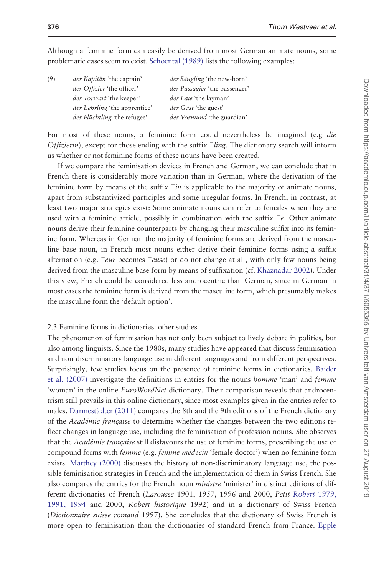Although a feminine form can easily be derived from most German animate nouns, some problematic cases seem to exist. [Schoental \(1989\)](#page-19-0) lists the following examples:

| (9) | <i>der Kapitän</i> 'the captain'     | der Säugling 'the new-born'       |
|-----|--------------------------------------|-----------------------------------|
|     | der Offizier 'the officer'           | der Passagier 'the passenger'     |
|     | <i>der Torwart</i> 'the keeper'      | <i>der Laie</i> 'the layman'      |
|     | <i>der Lehrling</i> 'the apprentice' | <i>der Gast</i> 'the guest'       |
|     | <i>der Flüchtling</i> 'the refugee'  | <i>der Vormund</i> 'the guardian' |

For most of these nouns, a feminine form could nevertheless be imagined (e.g die Offizierin), except for those ending with the suffix <sup>-</sup>ling. The dictionary search will inform us whether or not feminine forms of these nouns have been created.

If we compare the feminisation devices in French and German, we can conclude that in French there is considerably more variation than in German, where the derivation of the feminine form by means of the suffix  $\overline{\phantom{a}}$  is applicable to the majority of animate nouns, apart from substantivized participles and some irregular forms. In French, in contrast, at least two major strategies exist: Some animate nouns can refer to females when they are used with a feminine article, possibly in combination with the suffix  $^-e$ . Other animate nouns derive their feminine counterparts by changing their masculine suffix into its feminine form. Whereas in German the majority of feminine forms are derived from the masculine base noun, in French most nouns either derive their feminine forms using a suffix alternation (e.g. <sup>-</sup>eur becomes <sup>-</sup>euse) or do not change at all, with only few nouns being derived from the masculine base form by means of suffixation (cf. [Khaznadar 2002\)](#page-19-0). Under this view, French could be considered less androcentric than German, since in German in most cases the feminine form is derived from the masculine form, which presumably makes the masculine form the 'default option'.

#### 2.3 Feminine forms in dictionaries: other studies

The phenomenon of feminisation has not only been subject to lively debate in politics, but also among linguists. Since the 1980s, many studies have appeared that discuss feminisation and non-discriminatory language use in different languages and from different perspectives. Surprisingly, few studies focus on the presence of feminine forms in dictionaries. [Baider](#page-19-0) [et al. \(2007\)](#page-19-0) investigate the definitions in entries for the nouns *homme* 'man' and *femme* 'woman' in the online *EuroWordNet* dictionary. Their comparison reveals that androcentrism still prevails in this online dictionary, since most examples given in the entries refer to males. Darmestädter (2011) compares the 8th and the 9th editions of the French dictionary of the Académie française to determine whether the changes between the two editions reflect changes in language use, including the feminisation of profession nouns. She observes that the Académie française still disfavours the use of feminine forms, prescribing the use of compound forms with *femme* (e.g. *femme médecin* 'female doctor') when no feminine form exists. [Matthey \(2000\)](#page-19-0) discusses the history of non-discriminatory language use, the possible feminisation strategies in French and the implementation of them in Swiss French. She also compares the entries for the French noun *ministre* 'minister' in distinct editions of different dictionaries of French (Larousse 1901, 1957, 1996 and 2000, Petit [Robert](#page-18-0) 1979, [1991, 1994](#page-18-0) and 2000, Robert historique 1992) and in a dictionary of Swiss French (Dictionnaire suisse romand 1997). She concludes that the dictionary of Swiss French is more open to feminisation than the dictionaries of standard French from France. [Epple](#page-19-0)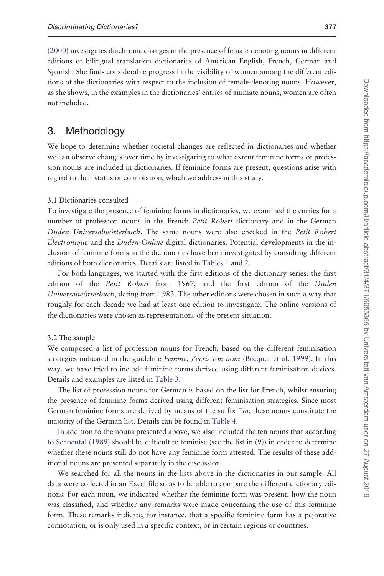[\(2000\)](#page-19-0) investigates diachronic changes in the presence of female-denoting nouns in different editions of bilingual translation dictionaries of American English, French, German and Spanish. She finds considerable progress in the visibility of women among the different editions of the dictionaries with respect to the inclusion of female-denoting nouns. However, as she shows, in the examples in the dictionaries' entries of animate nouns, women are often not included.

## 3. Methodology

We hope to determine whether societal changes are reflected in dictionaries and whether we can observe changes over time by investigating to what extent feminine forms of profession nouns are included in dictionaries. If feminine forms are present, questions arise with regard to their status or connotation, which we address in this study.

#### 3.1 Dictionaries consulted

To investigate the presence of feminine forms in dictionaries, we examined the entries for a number of profession nouns in the French *Petit Robert* dictionary and in the German Duden Universalwörterbuch. The same nouns were also checked in the Petit Robert *Électronique* and the *Duden-Online* digital dictionaries. Potential developments in the inclusion of feminine forms in the dictionaries have been investigated by consulting different editions of both dictionaries. Details are listed in [Tables 1](#page-8-0) and [2.](#page-8-0)

For both languages, we started with the first editions of the dictionary series: the first edition of the Petit Robert from 1967, and the first edition of the Duden Universalwörterbuch, dating from 1983. The other editions were chosen in such a way that roughly for each decade we had at least one edition to investigate. The online versions of the dictionaries were chosen as representations of the present situation.

#### 3.2 The sample

We composed a list of profession nouns for French, based on the different feminisation strategies indicated in the guideline *Femme, j'écris ton nom* ([Becquer et al. 1999\)](#page-19-0). In this way, we have tried to include feminine forms derived using different feminisation devices. Details and examples are listed in [Table 3](#page-8-0).

The list of profession nouns for German is based on the list for French, whilst ensuring the presence of feminine forms derived using different feminisation strategies. Since most German feminine forms are derived by means of the suffix  $\overline{\ }$  in, these nouns constitute the majority of the German list. Details can be found in [Table 4](#page-8-0).

In addition to the nouns presented above, we also included the ten nouns that according to [Schoental \(1989\)](#page-19-0) should be difficult to feminise (see the list in (9)) in order to determine whether these nouns still do not have any feminine form attested. The results of these additional nouns are presented separately in the discussion.

We searched for all the nouns in the lists above in the dictionaries in our sample. All data were collected in an Excel file so as to be able to compare the different dictionary editions. For each noun, we indicated whether the feminine form was present, how the noun was classified, and whether any remarks were made concerning the use of this feminine form. These remarks indicate, for instance, that a specific feminine form has a pejorative connotation, or is only used in a specific context, or in certain regions or countries.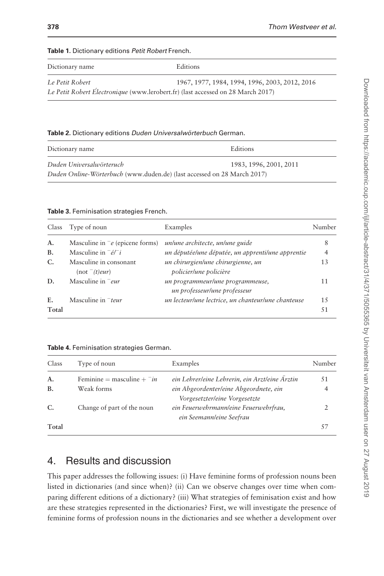#### <span id="page-8-0"></span>Table 1. Dictionary editions Petit Robert French.

| Dictionary name                                                                 | Editions                                       |
|---------------------------------------------------------------------------------|------------------------------------------------|
| Le Petit Robert                                                                 | 1967, 1977, 1984, 1994, 1996, 2003, 2012, 2016 |
| Le Petit Robert Électronique (www.lerobert.fr) (last accessed on 28 March 2017) |                                                |

#### Table 2. Dictionary editions Duden Universalwörterbuch German.

| Dictionary name                                                         | Editions               |
|-------------------------------------------------------------------------|------------------------|
| Duden Universalwörteruch                                                | 1983, 1996, 2001, 2011 |
| Duden Online-Wörterbuch (www.duden.de) (last accessed on 28 March 2017) |                        |

| Class | Type of noun                                      | Examples                                                         | Number |
|-------|---------------------------------------------------|------------------------------------------------------------------|--------|
| A.    | Masculine in $\overline{e}$ (epicene forms)       | un/une architecte, un/une guide                                  | 8      |
| В.    | Masculine in $\frac{-\acute{e}}{i}$               | un députéelune députée, un apprentilune apprentie                | 4      |
| C.    | Masculine in consonant<br>$($ not $^-(t)$ eur $)$ | un chirurgien/une chirurgienne, un<br>policier/une policière     | 13     |
| D.    | Masculine in $=$ eur                              | un programmeur/une programmeuse,<br>un professeur/une professeur | 11     |
| E.    | Masculine in $^-$ teur                            | un lecteur/une lectrice, un chanteur/une chanteuse               | 1.5    |
| Total |                                                   |                                                                  | 51     |

#### Table 4. Feminisation strategies German.

| Class     | Type of noun                                       | Examples                                                               | Number |
|-----------|----------------------------------------------------|------------------------------------------------------------------------|--------|
| A.        | Feminine = masculine + $\overline{\phantom{a}}$ in | ein Lehrerleine Lehrerin, ein Arztleine Ärztin                         | 51     |
| <b>B.</b> | Weak forms                                         | ein Abgeordenterleine Abgeordnete, ein                                 | 4      |
| C.        | Change of part of the noun                         | Vorgesetzterleine Vorgesetzte<br>ein Feuerwehrmann/eine Feuerwehrfrau, |        |
| Total     |                                                    | ein Seemannleine Seefrau                                               | 57     |

# 4. Results and discussion

This paper addresses the following issues: (i) Have feminine forms of profession nouns been listed in dictionaries (and since when)? (ii) Can we observe changes over time when comparing different editions of a dictionary? (iii) What strategies of feminisation exist and how are these strategies represented in the dictionaries? First, we will investigate the presence of feminine forms of profession nouns in the dictionaries and see whether a development over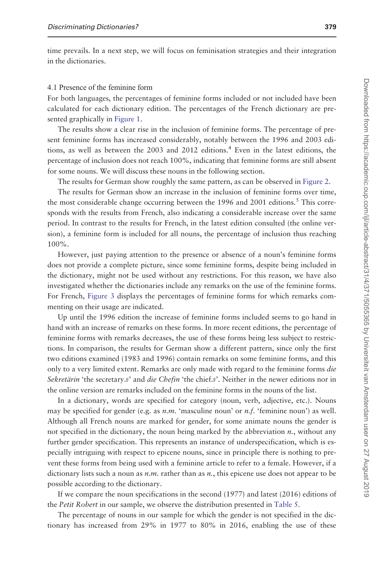time prevails. In a next step, we will focus on feminisation strategies and their integration in the dictionaries.

#### 4.1 Presence of the feminine form

For both languages, the percentages of feminine forms included or not included have been calculated for each dictionary edition. The percentages of the French dictionary are presented graphically in [Figure 1.](#page-10-0)

The results show a clear rise in the inclusion of feminine forms. The percentage of present feminine forms has increased considerably, notably between the 1996 and 2003 editions, as well as between the 2003 and 2012 editions.<sup>4</sup> Even in the latest editions, the percentage of inclusion does not reach 100%, indicating that feminine forms are still absent for some nouns. We will discuss these nouns in the following section.

The results for German show roughly the same pattern, as can be observed in [Figure 2.](#page-10-0)

The results for German show an increase in the inclusion of feminine forms over time, the most considerable change occurring between the 1996 and 2001 editions.<sup>5</sup> This corresponds with the results from French, also indicating a considerable increase over the same period. In contrast to the results for French, in the latest edition consulted (the online version), a feminine form is included for all nouns, the percentage of inclusion thus reaching 100%.

However, just paying attention to the presence or absence of a noun's feminine forms does not provide a complete picture, since some feminine forms, despite being included in the dictionary, might not be used without any restrictions. For this reason, we have also investigated whether the dictionaries include any remarks on the use of the feminine forms. For French, [Figure 3](#page-11-0) displays the percentages of feminine forms for which remarks commenting on their usage are indicated.

Up until the 1996 edition the increase of feminine forms included seems to go hand in hand with an increase of remarks on these forms. In more recent editions, the percentage of feminine forms with remarks decreases, the use of these forms being less subject to restrictions. In comparison, the results for German show a different pattern, since only the first two editions examined (1983 and 1996) contain remarks on some feminine forms, and this only to a very limited extent. Remarks are only made with regard to the feminine forms die Sekretärin 'the secretary.F' and die Chefin 'the chief.F'. Neither in the newer editions nor in the online version are remarks included on the feminine forms in the nouns of the list.

In a dictionary, words are specified for category (noun, verb, adjective, etc.). Nouns may be specified for gender (e.g. as  $n.m$ . 'masculine noun' or  $n.f$ . 'feminine noun') as well. Although all French nouns are marked for gender, for some animate nouns the gender is not specified in the dictionary, the noun being marked by the abbreviation  $n<sub>1</sub>$ , without any further gender specification. This represents an instance of underspecification, which is especially intriguing with respect to epicene nouns, since in principle there is nothing to prevent these forms from being used with a feminine article to refer to a female. However, if a dictionary lists such a noun as  $n,m$ . rather than as  $n,$ , this epicene use does not appear to be possible according to the dictionary.

If we compare the noun specifications in the second (1977) and latest (2016) editions of the Petit Robert in our sample, we observe the distribution presented in [Table 5.](#page-11-0)

The percentage of nouns in our sample for which the gender is not specified in the dictionary has increased from 29% in 1977 to 80% in 2016, enabling the use of these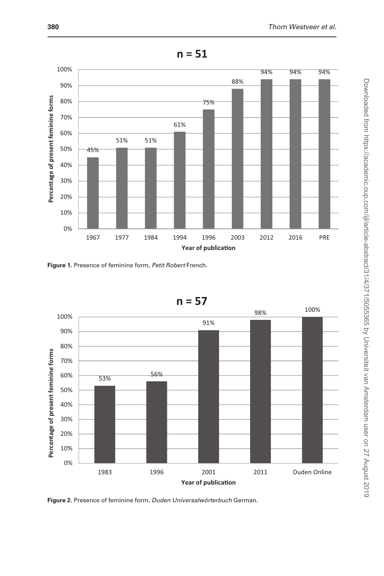<span id="page-10-0"></span>

Figure 1. Presence of feminine form, Petit Robert French.



Figure 2. Presence of feminine form, Duden Universalwörterbuch German.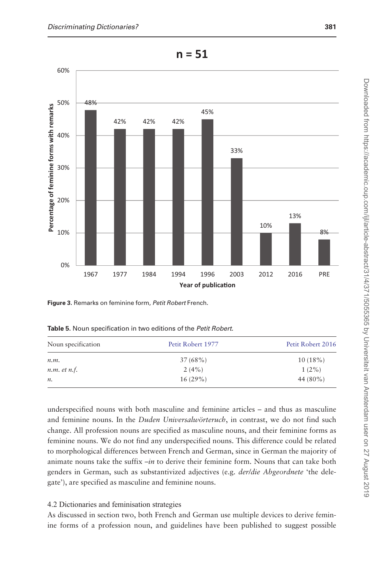<span id="page-11-0"></span>

Figure 3. Remarks on feminine form, Petit Robert French.

| Noun specification | Petit Robert 1977 | Petit Robert 2016 |
|--------------------|-------------------|-------------------|
| n.m.               | $37(68\%)$        | $10(18\%)$        |
| $n.m.$ et $n.f.$   | 2(4%)             | $1(2\%)$          |
| $n_{\cdot}$        | $16(29\%)$        | 44 (80%)          |

Table 5. Noun specification in two editions of the Petit Robert.

underspecified nouns with both masculine and feminine articles – and thus as masculine and feminine nouns. In the Duden Universalwörteruch, in contrast, we do not find such change. All profession nouns are specified as masculine nouns, and their feminine forms as feminine nouns. We do not find any underspecified nouns. This difference could be related to morphological differences between French and German, since in German the majority of animate nouns take the suffix  $-i\pi$  to derive their feminine form. Nouns that can take both genders in German, such as substantivized adjectives (e.g. *der/die Abgeordnete* 'the delegate'), are specified as masculine and feminine nouns.

#### 4.2 Dictionaries and feminisation strategies

As discussed in section two, both French and German use multiple devices to derive feminine forms of a profession noun, and guidelines have been published to suggest possible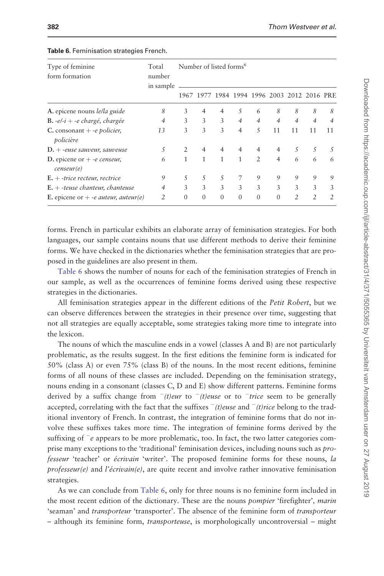| Type of feminine<br>form formation          | Total<br>number<br>in sample | Number of listed forms <sup>6</sup> |                |                                             |                |                |                |                |                |                |
|---------------------------------------------|------------------------------|-------------------------------------|----------------|---------------------------------------------|----------------|----------------|----------------|----------------|----------------|----------------|
|                                             |                              |                                     |                | 1967 1977 1984 1994 1996 2003 2012 2016 PRE |                |                |                |                |                |                |
| A. epicene nouns le/la guide                | 8                            | 3                                   |                | 4                                           | 5              | 6              | 8              | 8              | 8              | 8              |
| <b>B.</b> $-e/-i$ + $-e$ chargé, chargée    | $\overline{4}$               | 3                                   | 3              | 3                                           | $\overline{4}$ | $\overline{4}$ | $\overline{4}$ | $\overline{4}$ | $\overline{4}$ | $\overline{4}$ |
| C. consonant $+$ -e policier,<br>policière  | 13                           | 3                                   | 3              | 3                                           | $\overline{4}$ | 5              | 11             | 11             | 11             | 11             |
| $D. + -e$ use sauveur, sauveuse             | 5                            | 2                                   | $\overline{4}$ | $\overline{4}$                              | $\overline{4}$ | $\overline{4}$ | 4              |                | 5              |                |
| D. epicene or $+$ -e censeur,<br>censeur(e) | 6                            | 1                                   | $\mathbf{1}$   | $\mathbf{1}$                                | $\mathbf{1}$   | $\mathfrak{D}$ | $\overline{4}$ | 6              | 6              | 6              |
| $E_{\star}$ + -trice recteur, rectrice      | 9                            | 5                                   | .5             | 5                                           | 7              | 9              | 9              | 9              | 9              | 9              |
| $E_{\rm t}$ + -teuse chanteur, chanteuse    | $\overline{4}$               | 3                                   | 3              | 3                                           | 3              | 3              | 3              | 3              | 3              | 3              |
| E. epicene or $+$ -e auteur, auteur(e)      | 2                            | $\Omega$                            | $\Omega$       | $\mathbf{0}$                                | $\mathbf{0}$   | $\Omega$       | $\mathbf{0}$   | $\overline{2}$ | 2              | 2              |

#### Table 6. Feminisation strategies French.

forms. French in particular exhibits an elaborate array of feminisation strategies. For both languages, our sample contains nouns that use different methods to derive their feminine forms. We have checked in the dictionaries whether the feminisation strategies that are proposed in the guidelines are also present in them.

Table 6 shows the number of nouns for each of the feminisation strategies of French in our sample, as well as the occurrences of feminine forms derived using these respective strategies in the dictionaries.

All feminisation strategies appear in the different editions of the Petit Robert, but we can observe differences between the strategies in their presence over time, suggesting that not all strategies are equally acceptable, some strategies taking more time to integrate into the lexicon.

The nouns of which the masculine ends in a vowel (classes A and B) are not particularly problematic, as the results suggest. In the first editions the feminine form is indicated for 50% (class A) or even 75% (class B) of the nouns. In the most recent editions, feminine forms of all nouns of these classes are included. Depending on the feminisation strategy, nouns ending in a consonant (classes C, D and E) show different patterns. Feminine forms derived by a suffix change from  $^-(t)$ eur to  $^-(t)$ euse or to  $^-\textit{trice}$  seem to be generally accepted, correlating with the fact that the suffixes  $^-(t)$ euse and  $^-(t)$ rice belong to the traditional inventory of French. In contrast, the integration of feminine forms that do not involve these suffixes takes more time. The integration of feminine forms derived by the suffixing of  $-e$  appears to be more problematic, too. In fact, the two latter categories comprise many exceptions to the 'traditional' feminisation devices, including nouns such as professeur 'teacher' or *écrivain* 'writer'. The proposed feminine forms for these nouns, la  $professeur(e)$  and *l'écrivain(e)*, are quite recent and involve rather innovative feminisation strategies.

As we can conclude from Table 6, only for three nouns is no feminine form included in the most recent edition of the dictionary. These are the nouns *pompier* 'firefighter', marin 'seaman' and transporteur 'transporter'. The absence of the feminine form of transporteur – although its feminine form, transporteuse, is morphologically uncontroversial – might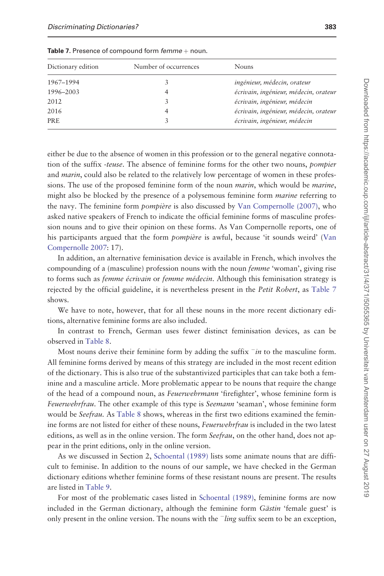| Dictionary edition | Number of occurrences | <b>Nouns</b>                          |
|--------------------|-----------------------|---------------------------------------|
| 1967–1994          |                       | ingénieur, médecin, orateur           |
| 1996-2003          | 4                     | écrivain, ingénieur, médecin, orateur |
| 2012               |                       | écrivain, ingénieur, médecin          |
| 2016               | 4                     | écrivain, ingénieur, médecin, orateur |
| <b>PRE</b>         |                       | écrivain, ingénieur, médecin          |

Table 7. Presence of compound form  $fermme + noun$ .

either be due to the absence of women in this profession or to the general negative connotation of the suffix -teuse. The absence of feminine forms for the other two nouns, pompier and *marin*, could also be related to the relatively low percentage of women in these professions. The use of the proposed feminine form of the noun *marin*, which would be *marine*, might also be blocked by the presence of a polysemous feminine form *marine* referring to the navy. The feminine form  $pombière$  is also discussed by [Van Compernolle \(2007\),](#page-20-0) who asked native speakers of French to indicate the official feminine forms of masculine profession nouns and to give their opinion on these forms. As Van Compernolle reports, one of his participants argued that the form *pompière* is awful, because 'it sounds weird' ([Van](#page-20-0) [Compernolle 2007](#page-20-0): 17).

In addition, an alternative feminisation device is available in French, which involves the compounding of a (masculine) profession nouns with the noun *femme* 'woman', giving rise to forms such as *femme écrivain* or *femme médecin*. Although this feminisation strategy is rejected by the official guideline, it is nevertheless present in the Petit Robert, as Table 7 shows.

We have to note, however, that for all these nouns in the more recent dictionary editions, alternative feminine forms are also included.

In contrast to French, German uses fewer distinct feminisation devices, as can be observed in [Table 8](#page-14-0).

Most nouns derive their feminine form by adding the suffix  $\overline{\phantom{x}}$  in to the masculine form. All feminine forms derived by means of this strategy are included in the most recent edition of the dictionary. This is also true of the substantivized participles that can take both a feminine and a masculine article. More problematic appear to be nouns that require the change of the head of a compound noun, as *Feuerwehrmann* 'firefighter', whose feminine form is Feuerwehrfrau. The other example of this type is Seemann 'seaman', whose feminine form would be Seefrau. As [Table 8](#page-14-0) shows, whereas in the first two editions examined the feminine forms are not listed for either of these nouns, *Feuerwehrfrau* is included in the two latest editions, as well as in the online version. The form Seefrau, on the other hand, does not appear in the print editions, only in the online version.

As we discussed in Section 2, [Schoental \(1989\)](#page-19-0) lists some animate nouns that are difficult to feminise. In addition to the nouns of our sample, we have checked in the German dictionary editions whether feminine forms of these resistant nouns are present. The results are listed in [Table 9](#page-14-0).

For most of the problematic cases listed in [Schoental \(1989\),](#page-19-0) feminine forms are now included in the German dictionary, although the feminine form Gästin 'female guest' is only present in the online version. The nouns with the  $^{-}$ *ling* suffix seem to be an exception,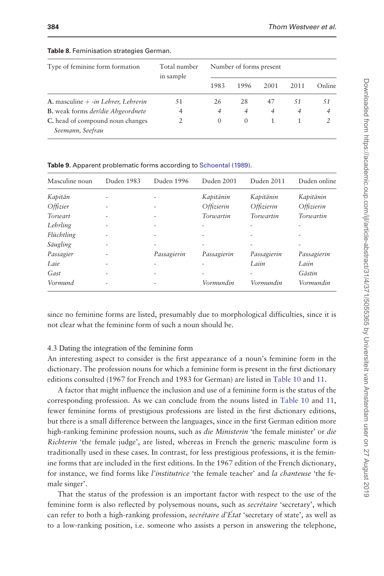| Type of feminine form formation                      | Total number<br>in sample | Number of forms present |          |      |      |        |  |
|------------------------------------------------------|---------------------------|-------------------------|----------|------|------|--------|--|
|                                                      |                           | 1983                    | 1996     | 2001 | 2011 | Online |  |
| A. masculine $+$ -in Lehrer, Lehrerin                | 51                        | 26                      | 28       | 47   | 51   | 51     |  |
| <b>B.</b> weak forms <i>der/die Abgeordnete</i>      | 4                         | 4                       | 4        | 4    | 4    |        |  |
| C. head of compound noun changes<br>Seemann, Seefrau |                           | $\Omega$                | $\Omega$ |      |      |        |  |

#### <span id="page-14-0"></span>Table 8. Feminisation strategies German.

Table 9. Apparent problematic forms according to [Schoental \(1989\)](#page-19-0).

| Masculine noun  | Duden 1983 | Duden 1996  | Duden 2001               | Duden 2011  | Duden online             |
|-----------------|------------|-------------|--------------------------|-------------|--------------------------|
| Kapitän         | ٠          |             | Kapitänin                | Kapitänin   | Kapitänin                |
| <i>Offizier</i> | ٠          | -           | Offizierin               | Offizierin  | <i><b>Offizierin</b></i> |
| Torwart         | ٠          |             | Torwartin                | Torwartin   | Torwartin                |
| Lehrling        | ٠          |             | $\overline{\phantom{a}}$ |             | ۰                        |
| Flüchtling      |            |             | $\overline{\phantom{a}}$ |             |                          |
| Säugling        |            |             | $\overline{\phantom{a}}$ |             | ۰                        |
| Passagier       | ٠          | Passagierin | Passagierin              | Passagierin | Passagierin              |
| Laie            | ٠          |             | $\overline{\phantom{a}}$ | Laiin       | Laiin                    |
| Gast            | ٠          |             | $\overline{\phantom{a}}$ |             | Gästin                   |
| Vormund         | ۰          |             | Vormundin                | Vormundin   | Vormundin                |

since no feminine forms are listed, presumably due to morphological difficulties, since it is not clear what the feminine form of such a noun should be.

#### 4.3 Dating the integration of the feminine form

An interesting aspect to consider is the first appearance of a noun's feminine form in the dictionary. The profession nouns for which a feminine form is present in the first dictionary editions consulted (1967 for French and 1983 for German) are listed in [Table 10](#page-15-0) and [11](#page-15-0).

A factor that might influence the inclusion and use of a feminine form is the status of the corresponding profession. As we can conclude from the nouns listed in [Table 10](#page-15-0) and [11](#page-15-0), fewer feminine forms of prestigious professions are listed in the first dictionary editions, but there is a small difference between the languages, since in the first German edition more high-ranking feminine profession nouns, such as *die Ministerin* 'the female minister' or *die* Richterin 'the female judge', are listed, whereas in French the generic masculine form is traditionally used in these cases. In contrast, for less prestigious professions, it is the feminine forms that are included in the first editions. In the 1967 edition of the French dictionary, for instance, we find forms like *l'institutrice* 'the female teacher' and *la chanteuse* 'the female singer'.

That the status of the profession is an important factor with respect to the use of the feminine form is also reflected by polysemous nouns, such as *secrétaire* 'secretary', which can refer to both a high-ranking profession, *secrétaire d'État* 'secretary of state', as well as to a low-ranking position, i.e. someone who assists a person in answering the telephone,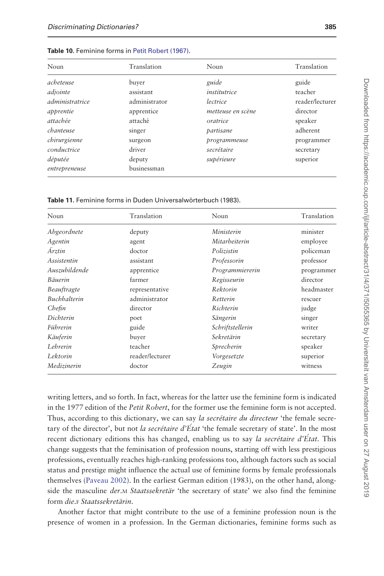| Noun            | Translation   | Noun              | Translation     |
|-----------------|---------------|-------------------|-----------------|
| acheteuse       | buyer         | guide             | guide           |
| adjointe        | assistant     | institutrice      | teacher         |
| administratrice | administrator | lectrice          | reader/lecturer |
| apprentie       | apprentice    | metteuse en scène | director        |
| attachée        | attaché       | oratrice          | speaker         |
| chanteuse       | singer        | partisane         | adherent        |
| chirurgienne    | surgeon       | programmeuse      | programmer      |
| conductrice     | driver        | secrétaire        | secretary       |
| députée         | deputy        | supérieure        | superior        |
| entrepreneuse   | businessman   |                   |                 |

<span id="page-15-0"></span>Table 10. Feminine forms in [Petit Robert \(1967\).](#page-18-0)

Table 11. Feminine forms in Duden Universalwörterbuch (1983).

| Noun          | Translation     | Noun             | Translation |
|---------------|-----------------|------------------|-------------|
| Abgeordnete   | deputy          | Ministerin       | minister    |
| Agentin       | agent           | Mitarbeiterin    | employee    |
| Arztin        | doctor          | Polizistin       | policeman   |
| Assistentin   | assistant       | Professorin      | professor   |
| Auszubildende | apprentice      | Programmiererin  | programmer  |
| Bäuerin       | farmer          | Regisseurin      | director    |
| Beauftragte   | representative  | Rektorin         | headmaster  |
| Buchhalterin  | administrator   | Retterin         | rescuer     |
| Chefin        | director        | Richterin        | judge       |
| Dichterin     | poet            | Sängerin         | singer      |
| Führerin      | guide           | Schriftstellerin | writer      |
| Käuferin      | buyer           | Sekretärin       | secretary   |
| Lehrerin      | teacher         | Sprecherin       | speaker     |
| Lektorin      | reader/lecturer | Vorgesetzte      | superior    |
| Medizinerin   | doctor          | Zeugin           | witness     |

writing letters, and so forth. In fact, whereas for the latter use the feminine form is indicated in the 1977 edition of the Petit Robert, for the former use the feminine form is not accepted. Thus, according to this dictionary, we can say la secrétaire du directeur 'the female secretary of the director', but not la secrétaire d'État 'the female secretary of state'. In the most recent dictionary editions this has changed, enabling us to say *la secrétaire d'État*. This change suggests that the feminisation of profession nouns, starting off with less prestigious professions, eventually reaches high-ranking professions too, although factors such as social status and prestige might influence the actual use of feminine forms by female professionals themselves ([Paveau 2002](#page-19-0)). In the earliest German edition (1983), on the other hand, alongside the masculine der.M Staatssekretär 'the secretary of state' we also find the feminine form die.F Staatssekretärin.

Another factor that might contribute to the use of a feminine profession noun is the presence of women in a profession. In the German dictionaries, feminine forms such as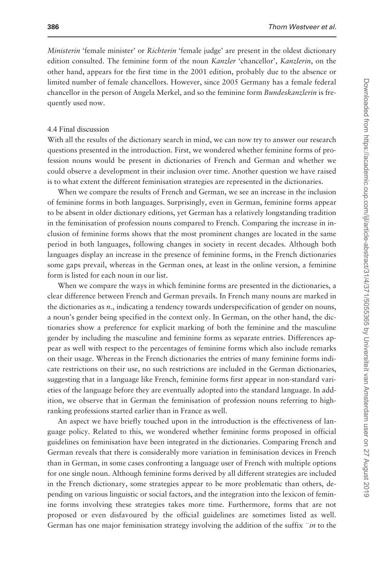Ministerin 'female minister' or Richterin 'female judge' are present in the oldest dictionary edition consulted. The feminine form of the noun Kanzler 'chancellor', Kanzlerin, on the other hand, appears for the first time in the 2001 edition, probably due to the absence or limited number of female chancellors. However, since 2005 Germany has a female federal chancellor in the person of Angela Merkel, and so the feminine form Bundeskanzlerin is frequently used now.

#### 4.4 Final discussion

With all the results of the dictionary search in mind, we can now try to answer our research questions presented in the introduction. First, we wondered whether feminine forms of profession nouns would be present in dictionaries of French and German and whether we could observe a development in their inclusion over time. Another question we have raised is to what extent the different feminisation strategies are represented in the dictionaries.

When we compare the results of French and German, we see an increase in the inclusion of feminine forms in both languages. Surprisingly, even in German, feminine forms appear to be absent in older dictionary editions, yet German has a relatively longstanding tradition in the feminisation of profession nouns compared to French. Comparing the increase in inclusion of feminine forms shows that the most prominent changes are located in the same period in both languages, following changes in society in recent decades. Although both languages display an increase in the presence of feminine forms, in the French dictionaries some gaps prevail, whereas in the German ones, at least in the online version, a feminine form is listed for each noun in our list.

When we compare the ways in which feminine forms are presented in the dictionaries, a clear difference between French and German prevails. In French many nouns are marked in the dictionaries as  $n$ , indicating a tendency towards underspecification of gender on nouns, a noun's gender being specified in the context only. In German, on the other hand, the dictionaries show a preference for explicit marking of both the feminine and the masculine gender by including the masculine and feminine forms as separate entries. Differences appear as well with respect to the percentages of feminine forms which also include remarks on their usage. Whereas in the French dictionaries the entries of many feminine forms indicate restrictions on their use, no such restrictions are included in the German dictionaries, suggesting that in a language like French, feminine forms first appear in non-standard varieties of the language before they are eventually adopted into the standard language. In addition, we observe that in German the feminisation of profession nouns referring to highranking professions started earlier than in France as well.

An aspect we have briefly touched upon in the introduction is the effectiveness of language policy. Related to this, we wondered whether feminine forms proposed in official guidelines on feminisation have been integrated in the dictionaries. Comparing French and German reveals that there is considerably more variation in feminisation devices in French than in German, in some cases confronting a language user of French with multiple options for one single noun. Although feminine forms derived by all different strategies are included in the French dictionary, some strategies appear to be more problematic than others, depending on various linguistic or social factors, and the integration into the lexicon of feminine forms involving these strategies takes more time. Furthermore, forms that are not proposed or even disfavoured by the official guidelines are sometimes listed as well. German has one major feminisation strategy involving the addition of the suffix  $\overline{\phantom{a}}$  in to the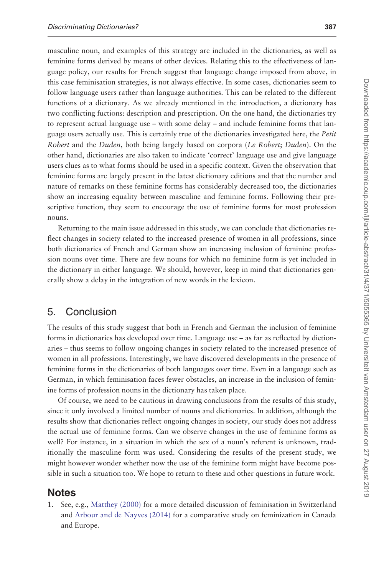masculine noun, and examples of this strategy are included in the dictionaries, as well as feminine forms derived by means of other devices. Relating this to the effectiveness of language policy, our results for French suggest that language change imposed from above, in this case feminisation strategies, is not always effective. In some cases, dictionaries seem to follow language users rather than language authorities. This can be related to the different functions of a dictionary. As we already mentioned in the introduction, a dictionary has two conflicting fuctions: description and prescription. On the one hand, the dictionaries try to represent actual language use – with some delay – and include feminine forms that language users actually use. This is certainly true of the dictionaries investigated here, the Petit Robert and the Duden, both being largely based on corpora (Le Robert; Duden). On the other hand, dictionaries are also taken to indicate 'correct' language use and give language users clues as to what forms should be used in a specific context. Given the observation that feminine forms are largely present in the latest dictionary editions and that the number and nature of remarks on these feminine forms has considerably decreased too, the dictionaries show an increasing equality between masculine and feminine forms. Following their prescriptive function, they seem to encourage the use of feminine forms for most profession nouns.

Returning to the main issue addressed in this study, we can conclude that dictionaries reflect changes in society related to the increased presence of women in all professions, since both dictionaries of French and German show an increasing inclusion of feminine profession nouns over time. There are few nouns for which no feminine form is yet included in the dictionary in either language. We should, however, keep in mind that dictionaries generally show a delay in the integration of new words in the lexicon.

## 5. Conclusion

The results of this study suggest that both in French and German the inclusion of feminine forms in dictionaries has developed over time. Language use – as far as reflected by dictionaries – thus seems to follow ongoing changes in society related to the increased presence of women in all professions. Interestingly, we have discovered developments in the presence of feminine forms in the dictionaries of both languages over time. Even in a language such as German, in which feminisation faces fewer obstacles, an increase in the inclusion of feminine forms of profession nouns in the dictionary has taken place.

Of course, we need to be cautious in drawing conclusions from the results of this study, since it only involved a limited number of nouns and dictionaries. In addition, although the results show that dictionaries reflect ongoing changes in society, our study does not address the actual use of feminine forms. Can we observe changes in the use of feminine forms as well? For instance, in a situation in which the sex of a noun's referent is unknown, traditionally the masculine form was used. Considering the results of the present study, we might however wonder whether now the use of the feminine form might have become possible in such a situation too. We hope to return to these and other questions in future work.

## **Notes**

1. See, e.g., [Matthey \(2000\)](#page-19-0) for a more detailed discussion of feminisation in Switzerland and [Arbour and de Nayves \(2014\)](#page-19-0) for a comparative study on feminization in Canada and Europe.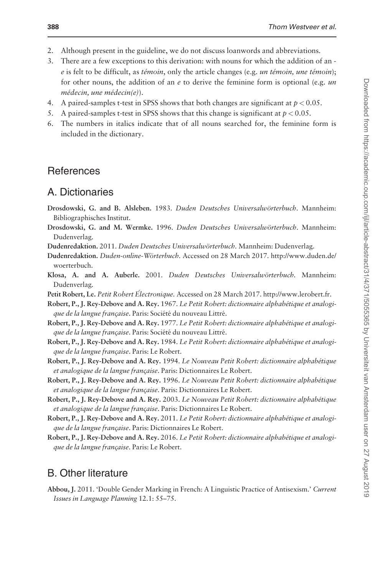- <span id="page-18-0"></span>2. Although present in the guideline, we do not discuss loanwords and abbreviations.
- 3. There are a few exceptions to this derivation: with nouns for which the addition of an e is felt to be difficult, as *témoin*, only the article changes (e.g. *un témoin*, *une témoin*); for other nouns, the addition of an e to derive the feminine form is optional (e.g.  $un$ médecin, une médecin(e)).
- 4. A paired-samples t-test in SPSS shows that both changes are significant at  $p < 0.05$ .
- 5. A paired-samples t-test in SPSS shows that this change is significant at  $p < 0.05$ .
- 6. The numbers in italics indicate that of all nouns searched for, the feminine form is included in the dictionary.

## References

## A. Dictionaries

- Drosdowski, G. and B. Alsleben. 1983. Duden Deutsches Universalwörterbuch. Mannheim: Bibliographisches Institut.
- Drosdowski, G. and M. Wermke. 1996. Duden Deutsches Universalwörterbuch. Mannheim: Dudenverlag.
- Dudenredaktion. 2011. Duden Deutsches Universalwörterbuch. Mannheim: Dudenverlag.
- Dudenredaktion. Duden-online-Wörterbuch. Accessed on 28 March 2017. [http://www.duden.de/](http://www.duden.de/woerterbuch) [woerterbuch.](http://www.duden.de/woerterbuch)
- Klosa, A. and A. Auberle. 2001. Duden Deutsches Universalwörterbuch. Mannheim: Dudenverlag.
- Petit Robert, Le. Petit Robert Électronique. Accessed on 28 March 2017.<http://www.lerobert.fr>.
- Robert, P., J. Rey-Debove and A. Rey. 1967. Le Petit Robert: dictionnaire alphabétique et analogique de la langue française. Paris: Société du nouveau Littré.
- Robert, P., J. Rey-Debove and A. Rey. 1977. Le Petit Robert: dictionnaire alphabétique et analogique de la langue française. Paris: Société du nouveau Littré.
- Robert, P., J. Rey-Debove and A. Rey. 1984. Le Petit Robert: dictionnaire alphabétique et analogique de la langue française. Paris: Le Robert.
- Robert, P., J. Rey-Debove and A. Rey. 1994. Le Nouveau Petit Robert: dictionnaire alphabétique et analogique de la langue française. Paris: Dictionnaires Le Robert.
- Robert, P., J. Rey-Debove and A. Rey. 1996. Le Nouveau Petit Robert: dictionnaire alphabétique et analogique de la langue française. Paris: Dictionnaires Le Robert.
- Robert, P., J. Rey-Debove and A. Rey. 2003. Le Nouveau Petit Robert: dictionnaire alphabétique et analogique de la langue française. Paris: Dictionnaires Le Robert.
- Robert, P., J. Rey-Debove and A. Rey. 2011. Le Petit Robert: dictionnaire alphabétique et analogique de la langue française. Paris: Dictionnaires Le Robert.
- Robert, P., J. Rey-Debove and A. Rey. 2016. Le Petit Robert: dictionnaire alphabétique et analogique de la langue française. Paris: Le Robert.

## B. Other literature

Abbou, J. 2011. 'Double Gender Marking in French: A Linguistic Practice of Antisexism.' Current Issues in Language Planning 12.1: 55–75.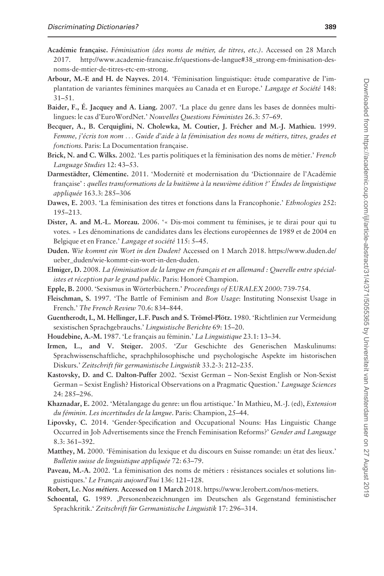- <span id="page-19-0"></span>Académie française. Féminisation (des noms de métier, de titres, etc.). Accessed on 28 March 2017. [http://www.academie-francaise.fr/questions-de-langue#38\\_strong-em-fminisation-des](http://www.academie-francaise.fr/questions-de-langue#38_strong-em-fminisation-des-noms-de-mtier-de-titres-etc-em-strong)[noms-de-mtier-de-titres-etc-em-strong.](http://www.academie-francaise.fr/questions-de-langue#38_strong-em-fminisation-des-noms-de-mtier-de-titres-etc-em-strong)
- Arbour, M.-E and H. de Nayves. 2014. 'Féminisation linguistique: étude comparative de l'implantation de variantes féminines marquées au Canada et en Europe.' Langage et Société 148: 31–51.
- Baider, F., É. Jacquey and A. Liang. 2007. 'La place du genre dans les bases de données multilingues: le cas d'EuroWordNet.' Nouvelles Questions Féministes 26.3: 57–69.
- Becquer, A., B. Cerquiglini, N. Cholewka, M. Coutier, J. Frécher and M.-J. Mathieu. 1999. Femme, j'écris ton nom ... Guide d'aide à la féminisation des noms de métiers, titres, grades et fonctions. Paris: La Documentation française.
- Brick, N. and C. Wilks. 2002. 'Les partis politiques et la féminisation des noms de métier.' French Language Studies 12: 43–53.
- Darmestädter, Clémentine. 2011. 'Modernité et modernisation du 'Dictionnaire de l'Académie francaise': quelles transformations de la huitième à la neuvième édition ?' Études de linguistique appliquée 163.3: 285–306
- Dawes, E. 2003. 'La féminisation des titres et fonctions dans la Francophonie.' Ethnologies 252: 195–213.
- Dister, A. and M.-L. Moreau. 2006. '« Dis-moi comment tu féminises, je te dirai pour qui tu votes. » Les dénominations de candidates dans les élections européennes de 1989 et de 2004 en Belgique et en France.' Langage et société 115: 5–45.
- Duden. Wie kommt ein Wort in den Duden? Accessed on 1 March 2018. [https://www.duden.de/](https://www.duden.de/ueber_duden/wie-kommt-ein-wort-in-den-duden) [ueber\\_duden/wie-kommt-ein-wort-in-den-duden.](https://www.duden.de/ueber_duden/wie-kommt-ein-wort-in-den-duden)
- Elmiger, D. 2008. La féminisation de la langue en français et en allemand : Querelle entre spécialistes et réception par le grand public. Paris: Honoré Champion.
- Epple, B. 2000. 'Sexismus in Wörterbüchern.' Proceedings of EURALEX 2000: 739-754.
- Fleischman, S. 1997. 'The Battle of Feminism and Bon Usage: Instituting Nonsexist Usage in French.' The French Review 70.6: 834–844.
- Guentherodt, I., M. Hellinger, L.F. Pusch and S. Trömel-Plötz. 1980. 'Richtlinien zur Vermeidung sexistischen Sprachgebrauchs.' Linguistische Berichte 69: 15–20.
- Houdebine, A.-M. 1987. 'Le français au féminin.' La Linguistique 23.1: 13–34.
- Irmen, L., and V. Steiger. 2005. 'Zur Geschichte des Generischen Maskulinums: Sprachwissenschaftliche, sprachphilosophische und psychologische Aspekte im historischen Diskurs.' Zeitschrift für germanistische Linguistik 33.2-3: 212–235.
- Kastovsky, D. and C. Dalton-Puffer 2002. 'Sexist German Non-Sexist English or Non-Sexist German – Sexist English? Historical Observations on a Pragmatic Question.' Language Sciences 24: 285–296.
- Khaznadar, E. 2002. 'Métalangage du genre: un flou artistique.' In Mathieu, M.-J. (ed), Extension du féminin. Les incertitudes de la langue. Paris: Champion, 25–44.
- Lipovsky, C. 2014. 'Gender-Specification and Occupational Nouns: Has Linguistic Change Occurred in Job Advertisements since the French Feminisation Reforms?' Gender and Language 8.3: 361–392.
- Matthey, M. 2000. 'Féminisation du lexique et du discours en Suisse romande: un état des lieux.' Bulletin suisse de linguistique appliquée 72: 63–79.
- Paveau, M.-A. 2002. 'La féminisation des noms de métiers : résistances sociales et solutions linguistiques.' Le Français aujourd'hui 136: 121–128.
- Robert, Le. Nos métiers. Accessed on 1 March 2018.<https://www.lerobert.com/nos-metiers>.
- Schoental, G. 1989. ,Personenbezeichnungen im Deutschen als Gegenstand feministischer Sprachkritik.' Zeitschrift für Germanistische Linguistik 17: 296–314.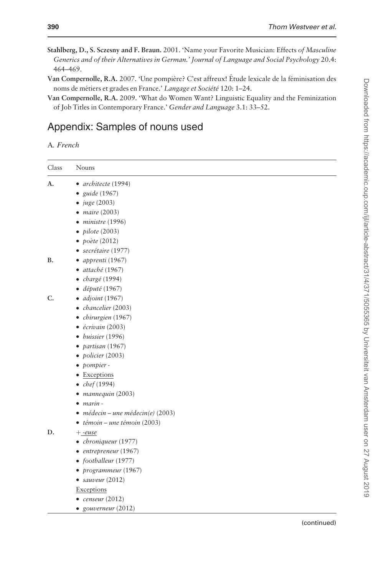<span id="page-20-0"></span>Stahlberg, D., S. Sczesny and F. Braun. 2001. 'Name your Favorite Musician: Effects of Masculine Generics and of their Alternatives in German.' Journal of Language and Social Psychology 20.4: 464–469.

- Van Compernolle, R.A. 2007. 'Une pompière? C'est affreux! Étude lexicale de la féminisation des noms de métiers et grades en France.' Langage et Société 120: 1–24.
- Van Compernolle, R.A. 2009. 'What do Women Want? Linguistic Equality and the Feminization of Job Titles in Contemporary France.' Gender and Language 3.1: 33–52.

# Appendix: Samples of nouns used

| A. French |
|-----------|
|           |

| Class | Nouns                             |  |  |  |  |  |
|-------|-----------------------------------|--|--|--|--|--|
| А.    | $\bullet$ architecte (1994)       |  |  |  |  |  |
|       | guide (1967)<br>$\bullet$         |  |  |  |  |  |
|       | juge (2003)<br>$\bullet$          |  |  |  |  |  |
|       | $\bullet$ maire (2003)            |  |  |  |  |  |
|       | $\bullet$ ministre (1996)         |  |  |  |  |  |
|       | $\bullet$ pilote (2003)           |  |  |  |  |  |
|       | poète (2012)                      |  |  |  |  |  |
|       | secrétaire (1977)                 |  |  |  |  |  |
| В.    | apprenti (1967)<br>٠              |  |  |  |  |  |
|       | $\bullet$ attaché (1967)          |  |  |  |  |  |
|       | chargé (1994)                     |  |  |  |  |  |
|       | député (1967)                     |  |  |  |  |  |
| C.    | adjoint (1967)<br>$\bullet$       |  |  |  |  |  |
|       | chancelier (2003)<br>$\bullet$    |  |  |  |  |  |
|       | chirurgien (1967)<br>$\bullet$    |  |  |  |  |  |
|       | $\bullet$ écrivain (2003)         |  |  |  |  |  |
|       | $\bullet$ huissier (1996)         |  |  |  |  |  |
|       | $\bullet$ partisan (1967)         |  |  |  |  |  |
|       | policier (2003)                   |  |  |  |  |  |
|       | pompier-                          |  |  |  |  |  |
|       | Exceptions                        |  |  |  |  |  |
|       | chef (1994)                       |  |  |  |  |  |
|       | mannequin (2003)                  |  |  |  |  |  |
|       | marin -                           |  |  |  |  |  |
|       | • médecin – une médecin(e) (2003) |  |  |  |  |  |
|       | témoin – une témoin (2003)<br>٠   |  |  |  |  |  |
| D.    | $+$ -euse                         |  |  |  |  |  |
|       | $\bullet$ chroniqueur (1977)      |  |  |  |  |  |
|       | entrepreneur (1967)<br>٠          |  |  |  |  |  |
|       | $\bullet$ footballeur (1977)      |  |  |  |  |  |
|       | programmeur (1967)                |  |  |  |  |  |
|       | $\bullet$ sauveur (2012)          |  |  |  |  |  |
|       | Exceptions                        |  |  |  |  |  |
|       | $\bullet$ censeur (2012)          |  |  |  |  |  |

• gouverneur (2012)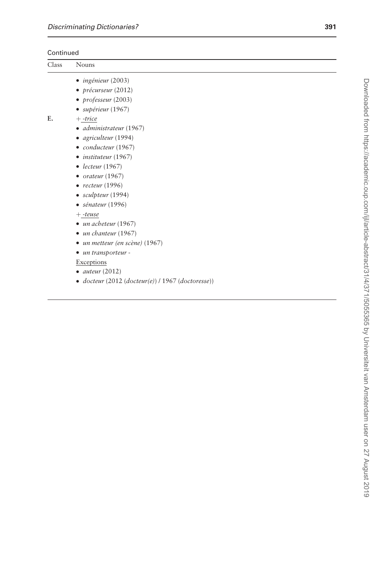#### Continued

| Class | Nouns                                               |
|-------|-----------------------------------------------------|
|       | $\bullet$ ingénieur (2003)                          |
|       | • $précurseur$ (2012)                               |
|       | • $professeur(2003)$                                |
|       | $\bullet$ supérieur (1967)                          |
| E.    | $+$ -trice                                          |
|       | · administrateur (1967)                             |
|       | • <i>agriculteur</i> $(1994)$                       |
|       | • $conductor (1967)$                                |
|       | $\bullet$ instituteur (1967)                        |
|       | $\bullet$ lecteur (1967)                            |
|       | $\bullet$ orateur (1967)                            |
|       | $\bullet$ recteur (1996)                            |
|       | • sculpteur $(1994)$                                |
|       | • sénateur $(1996)$                                 |
|       | $+$ -teuse                                          |
|       | $\bullet$ un acheteur (1967)                        |
|       | $\bullet$ un chanteur (1967)                        |
|       | • un metteur (en scène) $(1967)$                    |
|       | $\bullet$ un transporteur -                         |
|       | Exceptions                                          |
|       | $\bullet$ auteur (2012)                             |
|       | • docteur $(2012 (docteur(e)) / 1967 (doctoresse))$ |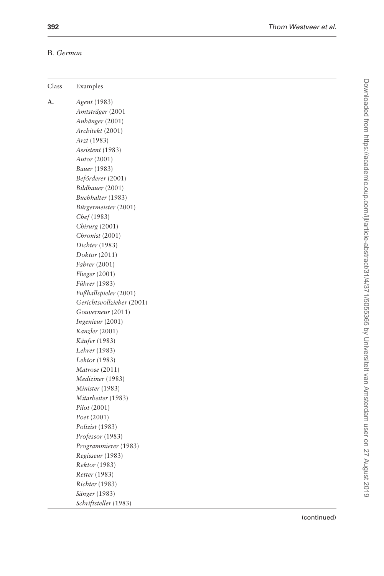B. German

| Class | Examples                  |
|-------|---------------------------|
| А.    | Agent (1983)              |
|       | Amtsträger (2001          |
|       | Anhänger (2001)           |
|       | Architekt (2001)          |
|       | Arzt (1983)               |
|       | Assistent (1983)          |
|       | Autor (2001)              |
|       | Bauer (1983)              |
|       | Beförderer (2001)         |
|       | Bildhauer (2001)          |
|       | Buchhalter (1983)         |
|       | Bürgermeister (2001)      |
|       | Chef (1983)               |
|       | Chirurg (2001)            |
|       | Chronist (2001)           |
|       | Dichter (1983)            |
|       | Doktor (2011)             |
|       | Fahrer (2001)             |
|       | Flieger(2001)             |
|       | Führer (1983)             |
|       | Fußballspieler (2001)     |
|       | Gerichtsvollzieher (2001) |
|       | Gouverneur (2011)         |
|       | Ingenieur (2001)          |
|       | Kanzler (2001)            |
|       | Käufer (1983)             |
|       | Lehrer (1983)             |
|       | Lektor (1983)             |
|       | Matrose (2011)            |
|       | Mediziner (1983)          |
|       | Minister (1983)           |
|       | Mitarbeiter (1983)        |
|       | Pilot (2001)              |
|       | Poet $(2001)$             |
|       | Polizist (1983)           |
|       | Professor (1983)          |
|       | Programmierer (1983)      |
|       | Regisseur (1983)          |
|       | Rektor (1983)             |
|       | Retter (1983)             |
|       | Richter (1983)            |
|       | Sänger (1983)             |
|       | Schriftsteller (1983)     |

(continued)